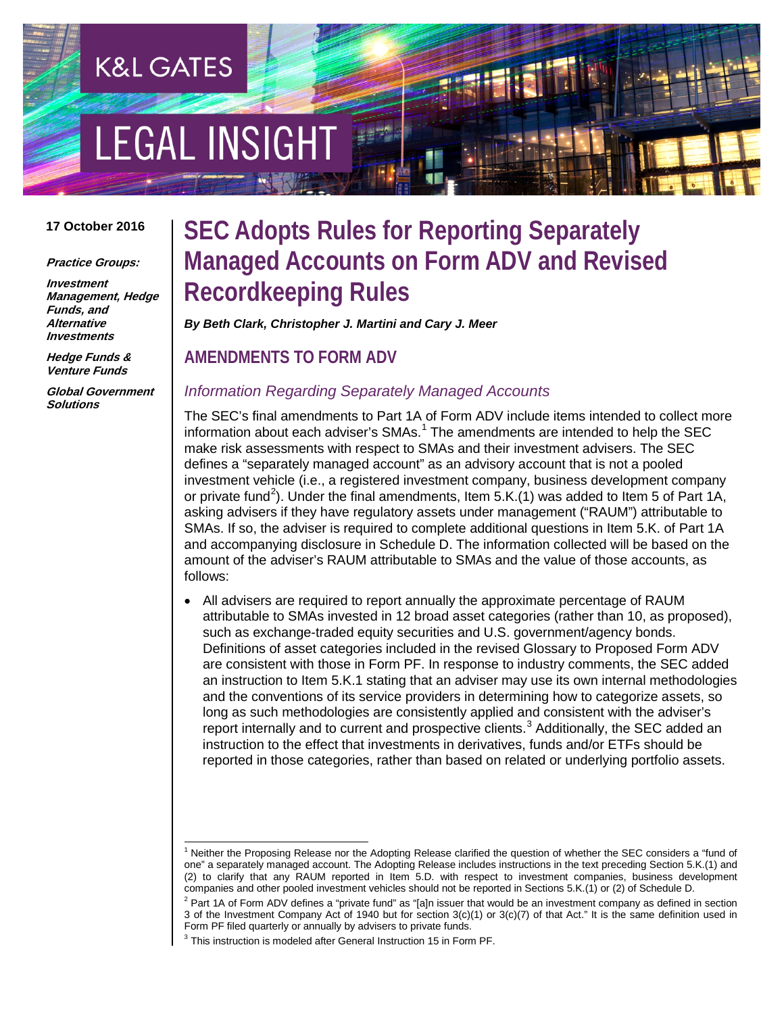# **EGAL INSIGHT**

**K&L GATES** 

#### **17 October 2016**

**Practice Groups:**

**Investment Management, Hedge Funds, and Alternative Investments**

**Hedge Funds & Venture Funds**

**Global Government Solutions**

# **SEC Adopts Rules for Reporting Separately Managed Accounts on Form ADV and Revised Recordkeeping Rules**

*By Beth Clark, Christopher J. Martini and Cary J. Meer*

**AMENDMENTS TO FORM ADV**

#### *Information Regarding Separately Managed Accounts*

The SEC's final amendments to Part 1A of Form ADV include items intended to collect more information about each adviser's  $SMAs<sup>1</sup>$  $SMAs<sup>1</sup>$  $SMAs<sup>1</sup>$ . The amendments are intended to help the SEC make risk assessments with respect to SMAs and their investment advisers. The SEC defines a "separately managed account" as an advisory account that is not a pooled investment vehicle (i.e., a registered investment company, business development company or private fund<sup>[2](#page-0-1)</sup>). Under the final amendments, Item 5.K.(1) was added to Item 5 of Part 1A, asking advisers if they have regulatory assets under management ("RAUM") attributable to SMAs. If so, the adviser is required to complete additional questions in Item 5.K. of Part 1A and accompanying disclosure in Schedule D. The information collected will be based on the amount of the adviser's RAUM attributable to SMAs and the value of those accounts, as follows:

• All advisers are required to report annually the approximate percentage of RAUM attributable to SMAs invested in 12 broad asset categories (rather than 10, as proposed), such as exchange-traded equity securities and U.S. government/agency bonds. Definitions of asset categories included in the revised Glossary to Proposed Form ADV are consistent with those in Form PF. In response to industry comments, the SEC added an instruction to Item 5.K.1 stating that an adviser may use its own internal methodologies and the conventions of its service providers in determining how to categorize assets, so long as such methodologies are consistently applied and consistent with the adviser's report internally and to current and prospective clients. $3$  Additionally, the SEC added an instruction to the effect that investments in derivatives, funds and/or ETFs should be reported in those categories, rather than based on related or underlying portfolio assets.

<span id="page-0-0"></span> $1$  Neither the Proposing Release nor the Adopting Release clarified the question of whether the SEC considers a "fund of one" a separately managed account. The Adopting Release includes instructions in the text preceding Section 5.K.(1) and (2) to clarify that any RAUM reported in Item 5.D. with respect to investment companies, business development companies and other pooled investment vehicles should not be reported in Sections 5.K.(1) or (2) of Schedule D.

<span id="page-0-2"></span><span id="page-0-1"></span> $2$  Part 1A of Form ADV defines a "private fund" as "[a]n issuer that would be an investment company as defined in section 3 of the Investment Company Act of 1940 but for section 3(c)(1) or 3(c)(7) of that Act." It is the same definition used in Form PF filed quarterly or annually by advisers to private funds.

This instruction is modeled after General Instruction 15 in Form PF.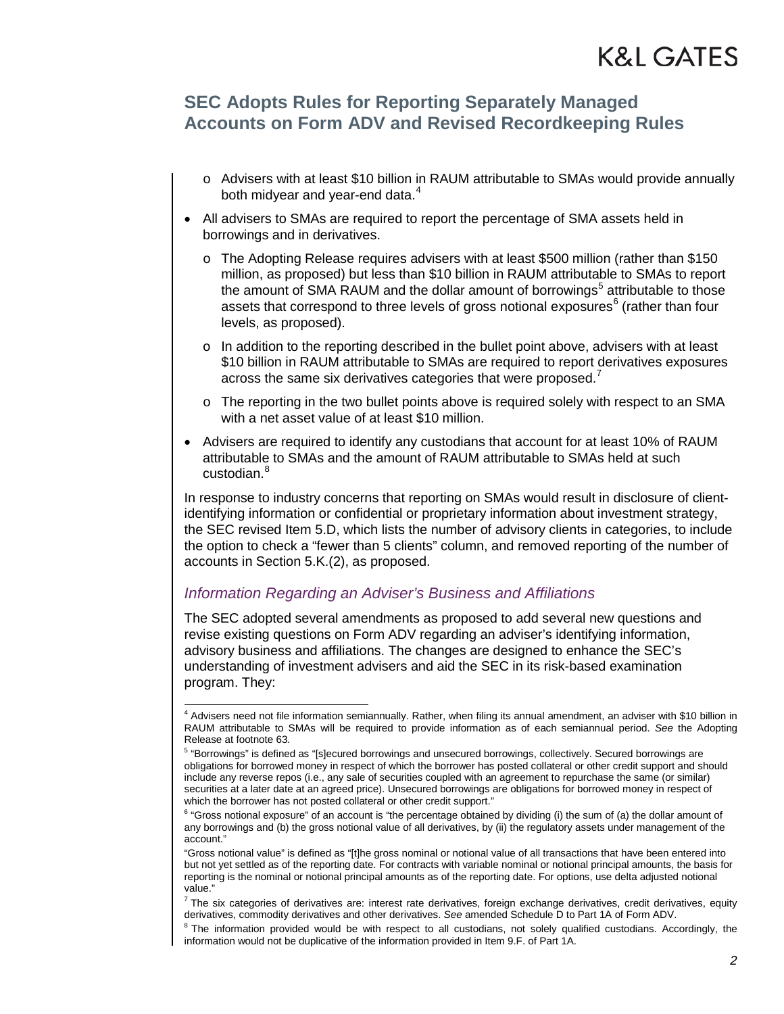### **SEC Adopts Rules for Reporting Separately Managed Accounts on Form ADV and Revised Recordkeeping Rules**

- o Advisers with at least \$10 billion in RAUM attributable to SMAs would provide annually both midyear and year-end data.<sup>[4](#page-1-0)</sup>
- All advisers to SMAs are required to report the percentage of SMA assets held in borrowings and in derivatives.
	- o The Adopting Release requires advisers with at least \$500 million (rather than \$150 million, as proposed) but less than \$10 billion in RAUM attributable to SMAs to report the amount of SMA RAUM and the dollar amount of borrowings<sup>[5](#page-1-1)</sup> attributable to those assets that correspond to three levels of gross notional exposures $<sup>6</sup>$  $<sup>6</sup>$  $<sup>6</sup>$  (rather than four</sup> levels, as proposed).
	- $\circ$  In addition to the reporting described in the bullet point above, advisers with at least \$10 billion in RAUM attributable to SMAs are required to report derivatives exposures across the same six derivatives categories that were proposed.<sup>[7](#page-1-3)</sup>
	- $\circ$  The reporting in the two bullet points above is required solely with respect to an SMA with a net asset value of at least \$10 million.
- Advisers are required to identify any custodians that account for at least 10% of RAUM attributable to SMAs and the amount of RAUM attributable to SMAs held at such custodian.<sup>[8](#page-1-4)</sup>

In response to industry concerns that reporting on SMAs would result in disclosure of clientidentifying information or confidential or proprietary information about investment strategy, the SEC revised Item 5.D, which lists the number of advisory clients in categories, to include the option to check a "fewer than 5 clients" column, and removed reporting of the number of accounts in Section 5.K.(2), as proposed.

#### *Information Regarding an Adviser's Business and Affiliations*

The SEC adopted several amendments as proposed to add several new questions and revise existing questions on Form ADV regarding an adviser's identifying information, advisory business and affiliations. The changes are designed to enhance the SEC's understanding of investment advisers and aid the SEC in its risk-based examination program. They:

<span id="page-1-0"></span> <sup>4</sup> Advisers need not file information semiannually. Rather, when filing its annual amendment, an adviser with \$10 billion in RAUM attributable to SMAs will be required to provide information as of each semiannual period. *See* the Adopting Release at footnote 63.

<span id="page-1-1"></span><sup>5</sup> "Borrowings" is defined as "[s]ecured borrowings and unsecured borrowings, collectively. Secured borrowings are obligations for borrowed money in respect of which the borrower has posted collateral or other credit support and should include any reverse repos (i.e., any sale of securities coupled with an agreement to repurchase the same (or similar) securities at a later date at an agreed price). Unsecured borrowings are obligations for borrowed money in respect of which the borrower has not posted collateral or other credit support."

<span id="page-1-2"></span><sup>&</sup>lt;sup>6</sup> "Gross notional exposure" of an account is "the percentage obtained by dividing (i) the sum of (a) the dollar amount of any borrowings and (b) the gross notional value of all derivatives, by (ii) the regulatory assets under management of the account."

<sup>&</sup>quot;Gross notional value" is defined as "[t]he gross nominal or notional value of all transactions that have been entered into but not yet settled as of the reporting date. For contracts with variable nominal or notional principal amounts, the basis for reporting is the nominal or notional principal amounts as of the reporting date. For options, use delta adjusted notional value."

<span id="page-1-3"></span> $^7$  The six categories of derivatives are: interest rate derivatives, foreign exchange derivatives, credit derivatives, equity derivatives and other derivatives. See amended Schedule D to Part 1A of Form ADV.

<span id="page-1-4"></span><sup>&</sup>lt;sup>8</sup> The information provided would be with respect to all custodians, not solely qualified custodians. Accordingly, the information would not be duplicative of the information provided in Item 9.F. of Part 1A.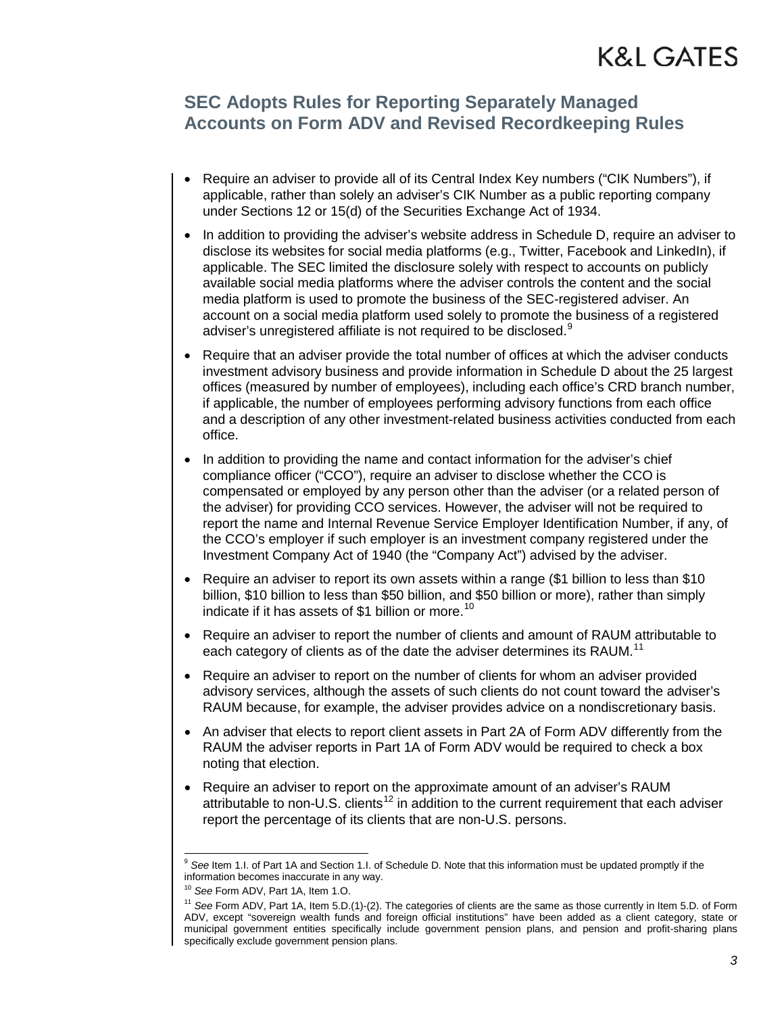### **SEC Adopts Rules for Reporting Separately Managed Accounts on Form ADV and Revised Recordkeeping Rules**

- Require an adviser to provide all of its Central Index Key numbers ("CIK Numbers"), if applicable, rather than solely an adviser's CIK Number as a public reporting company under Sections 12 or 15(d) of the Securities Exchange Act of 1934.
- In addition to providing the adviser's website address in Schedule D, require an adviser to disclose its websites for social media platforms (e.g., Twitter, Facebook and LinkedIn), if applicable. The SEC limited the disclosure solely with respect to accounts on publicly available social media platforms where the adviser controls the content and the social media platform is used to promote the business of the SEC-registered adviser. An account on a social media platform used solely to promote the business of a registered adviser's unregistered affiliate is not required to be disclosed.<sup>[9](#page-2-0)</sup>
- Require that an adviser provide the total number of offices at which the adviser conducts investment advisory business and provide information in Schedule D about the 25 largest offices (measured by number of employees), including each office's CRD branch number, if applicable, the number of employees performing advisory functions from each office and a description of any other investment-related business activities conducted from each office.
- In addition to providing the name and contact information for the adviser's chief compliance officer ("CCO"), require an adviser to disclose whether the CCO is compensated or employed by any person other than the adviser (or a related person of the adviser) for providing CCO services. However, the adviser will not be required to report the name and Internal Revenue Service Employer Identification Number, if any, of the CCO's employer if such employer is an investment company registered under the Investment Company Act of 1940 (the "Company Act") advised by the adviser.
- Require an adviser to report its own assets within a range (\$1 billion to less than \$10 billion, \$10 billion to less than \$50 billion, and \$50 billion or more), rather than simply indicate if it has assets of \$1 billion or more.<sup>[10](#page-2-1)</sup>
- Require an adviser to report the number of clients and amount of RAUM attributable to each category of clients as of the date the adviser determines its RAUM.<sup>[11](#page-2-2)</sup>
- Require an adviser to report on the number of clients for whom an adviser provided advisory services, although the assets of such clients do not count toward the adviser's RAUM because, for example, the adviser provides advice on a nondiscretionary basis.
- <span id="page-2-3"></span>• An adviser that elects to report client assets in Part 2A of Form ADV differently from the RAUM the adviser reports in Part 1A of Form ADV would be required to check a box noting that election.
- Require an adviser to report on the approximate amount of an adviser's RAUM attributable to non-U.S. clients<sup>[12](#page-2-3)</sup> in addition to the current requirement that each adviser report the percentage of its clients that are non-U.S. persons.

<span id="page-2-0"></span>See Item 1.I. of Part 1A and Section 1.I. of Schedule D. Note that this information must be updated promptly if the information becomes inaccurate in any way.

<span id="page-2-2"></span><span id="page-2-1"></span>

<sup>&</sup>lt;sup>10</sup> See Form ADV, Part 1A, Item 1.O.<br><sup>11</sup> See Form ADV, Part 1A, Item 5.D.(1)-(2). The categories of clients are the same as those currently in Item 5.D. of Form ADV, except "sovereign wealth funds and foreign official institutions" have been added as a client category, state or municipal government entities specifically include government pension plans, and pension and profit-sharing plans specifically exclude government pension plans.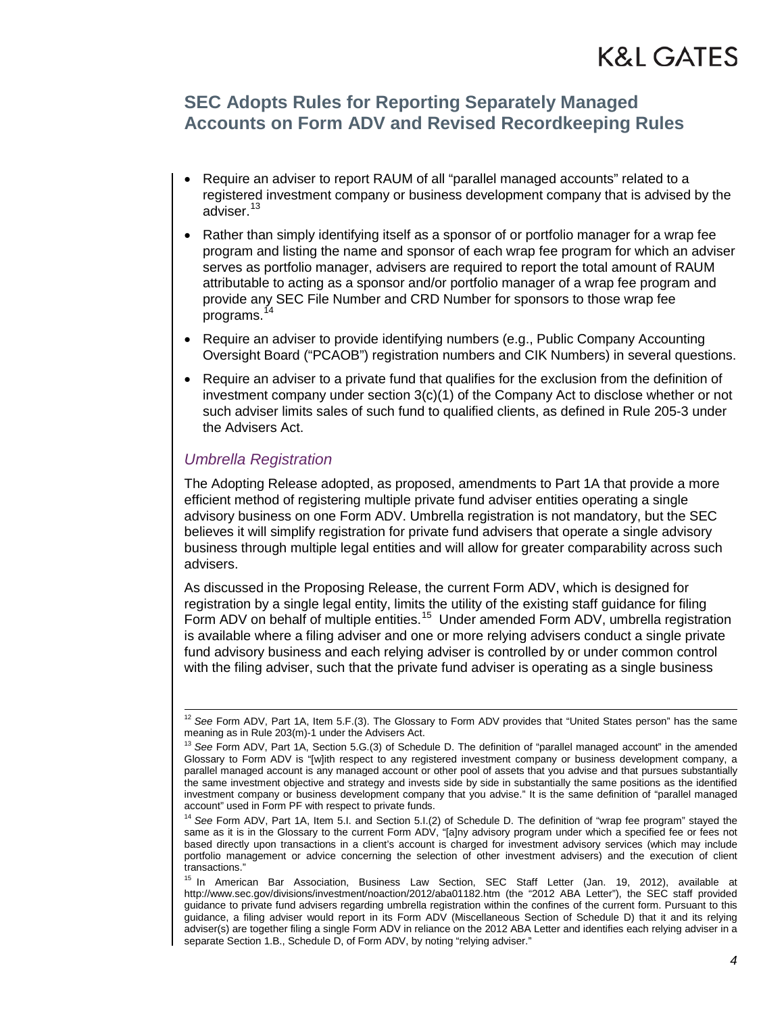### **SEC Adopts Rules for Reporting Separately Managed Accounts on Form ADV and Revised Recordkeeping Rules**

- Require an adviser to report RAUM of all "parallel managed accounts" related to a registered investment company or business development company that is advised by the adviser.<sup>[13](#page-3-0)</sup>
- Rather than simply identifying itself as a sponsor of or portfolio manager for a wrap fee program and listing the name and sponsor of each wrap fee program for which an adviser serves as portfolio manager, advisers are required to report the total amount of RAUM attributable to acting as a sponsor and/or portfolio manager of a wrap fee program and provide any SEC File Number and CRD Number for sponsors to those wrap fee programs.<sup>[14](#page-3-1)</sup>
- Require an adviser to provide identifying numbers (e.g., Public Company Accounting Oversight Board ("PCAOB") registration numbers and CIK Numbers) in several questions.
- Require an adviser to a private fund that qualifies for the exclusion from the definition of investment company under section  $3(c)(1)$  of the Company Act to disclose whether or not such adviser limits sales of such fund to qualified clients, as defined in Rule 205-3 under the Advisers Act.

#### *Umbrella Registration*

The Adopting Release adopted, as proposed, amendments to Part 1A that provide a more efficient method of registering multiple private fund adviser entities operating a single advisory business on one Form ADV. Umbrella registration is not mandatory, but the SEC believes it will simplify registration for private fund advisers that operate a single advisory business through multiple legal entities and will allow for greater comparability across such advisers.

As discussed in the Proposing Release, the current Form ADV, which is designed for registration by a single legal entity, limits the utility of the existing staff guidance for filing Form ADV on behalf of multiple entities.<sup>[15](#page-3-2)</sup> Under amended Form ADV, umbrella registration is available where a filing adviser and one or more relying advisers conduct a single private fund advisory business and each relying adviser is controlled by or under common control with the filing adviser, such that the private fund adviser is operating as a single business

<sup>&</sup>lt;sup>12</sup> See Form ADV, Part 1A, Item 5.F.(3). The Glossary to Form ADV provides that "United States person" has the same meaning as in Rule 203(m)-1 under the Advisers Act.

<span id="page-3-0"></span><sup>13</sup> *See* Form ADV, Part 1A, Section 5.G.(3) of Schedule D. The definition of "parallel managed account" in the amended Glossary to Form ADV is "[w]ith respect to any registered investment company or business development company, a parallel managed account is any managed account or other pool of assets that you advise and that pursues substantially the same investment objective and strategy and invests side by side in substantially the same positions as the identified investment company or business development company that you advise." It is the same definition of "parallel managed account" used in Form PF with respect to private funds.

<span id="page-3-1"></span><sup>14</sup> *See* Form ADV, Part 1A, Item 5.I. and Section 5.I.(2) of Schedule D. The definition of "wrap fee program" stayed the same as it is in the Glossary to the current Form ADV, "[a]ny advisory program under which a specified fee or fees not based directly upon transactions in a client's account is charged for investment advisory services (which may include portfolio management or advice concerning the selection of other investment advisers) and the execution of client transactions."

<span id="page-3-2"></span><sup>&</sup>lt;sup>15</sup> In American Bar Association, Business Law Section, SEC Staff Letter (Jan. 19, 2012), available at http://www.sec.gov/divisions/investment/noaction/2012/aba01182.htm (the "2012 ABA Letter"), the SEC staff provided guidance to private fund advisers regarding umbrella registration within the confines of the current form. Pursuant to this guidance, a filing adviser would report in its Form ADV (Miscellaneous Section of Schedule D) that it and its relying adviser(s) are together filing a single Form ADV in reliance on the 2012 ABA Letter and identifies each relying adviser in a separate Section 1.B., Schedule D, of Form ADV, by noting "relying adviser."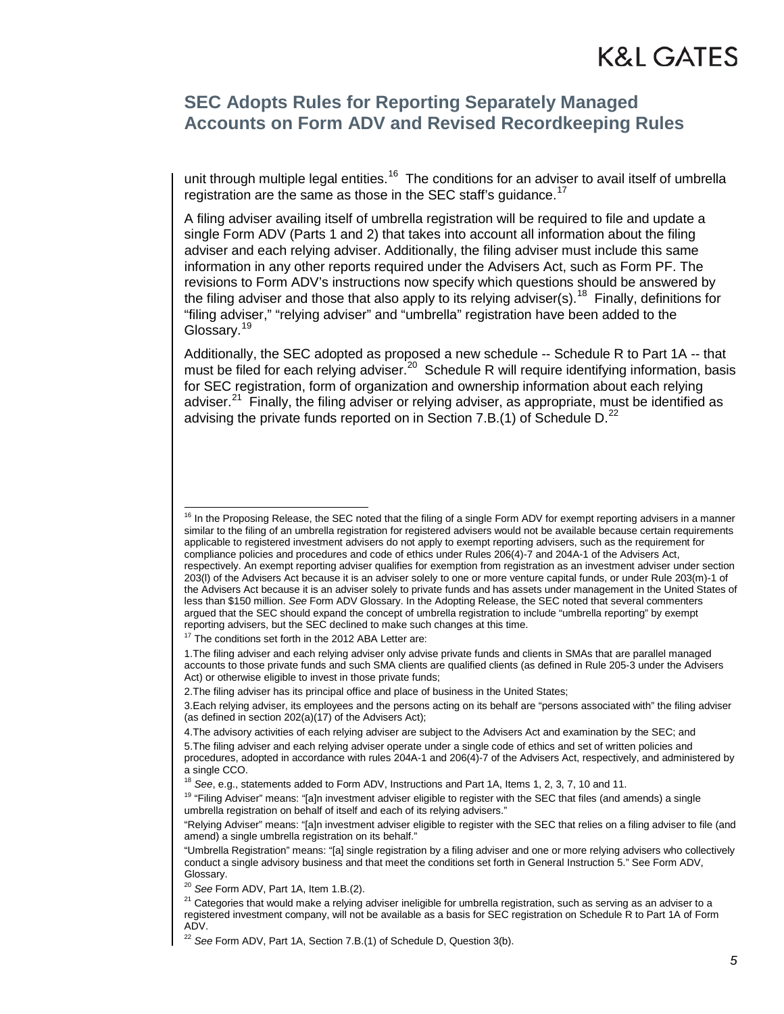### **SEC Adopts Rules for Reporting Separately Managed Accounts on Form ADV and Revised Recordkeeping Rules**

unit through multiple legal entities.<sup>[16](#page-4-0)</sup> The conditions for an adviser to avail itself of umbrella registration are the same as those in the SEC staff's guidance.<sup>17</sup>

A filing adviser availing itself of umbrella registration will be required to file and update a single Form ADV (Parts 1 and 2) that takes into account all information about the filing adviser and each relying adviser. Additionally, the filing adviser must include this same information in any other reports required under the Advisers Act, such as Form PF. The revisions to Form ADV's instructions now specify which questions should be answered by the filing adviser and those that also apply to its relying adviser(s).<sup>18</sup> Finally, definitions for "filing adviser," "relying adviser" and "umbrella" registration have been added to the Glossary.<sup>[19](#page-4-3)</sup>

Additionally, the SEC adopted as proposed a new schedule -- Schedule R to Part 1A -- that must be filed for each relying adviser.<sup>[20](#page-4-4)</sup> Schedule R will require identifying information, basis for SEC registration, form of organization and ownership information about each relying adviser. $21$  Finally, the filing adviser or relying adviser, as appropriate, must be identified as advising the private funds reported on in Section 7.B.(1) of Schedule D.<sup>[22](#page-4-6)</sup>

<span id="page-4-0"></span> $16$  In the Proposing Release, the SEC noted that the filing of a single Form ADV for exempt reporting advisers in a manner similar to the filing of an umbrella registration for registered advisers would not be available because certain requirements applicable to registered investment advisers do not apply to exempt reporting advisers, such as the requirement for compliance policies and procedures and code of ethics under Rules 206(4)-7 and 204A-1 of the Advisers Act, respectively. An exempt reporting adviser qualifies for exemption from registration as an investment adviser under section 203(l) of the Advisers Act because it is an adviser solely to one or more venture capital funds, or under Rule 203(m)-1 of the Advisers Act because it is an adviser solely to private funds and has assets under management in the United States of less than \$150 million. *See* Form ADV Glossary. In the Adopting Release, the SEC noted that several commenters argued that the SEC should expand the concept of umbrella registration to include "umbrella reporting" by exempt reporting advisers, but the SEC declined to make such changes at this time.

<sup>&</sup>lt;sup>17</sup> The conditions set forth in the 2012 ABA Letter are:

<span id="page-4-1"></span><sup>1.</sup>The filing adviser and each relying adviser only advise private funds and clients in SMAs that are parallel managed accounts to those private funds and such SMA clients are qualified clients (as defined in Rule 205-3 under the Advisers Act) or otherwise eligible to invest in those private funds;

<sup>2.</sup>The filing adviser has its principal office and place of business in the United States;

<sup>3.</sup>Each relying adviser, its employees and the persons acting on its behalf are "persons associated with" the filing adviser (as defined in section  $202(a)(17)$  of the Advisers Act);

<sup>4.</sup>The advisory activities of each relying adviser are subject to the Advisers Act and examination by the SEC; and

<sup>5.</sup>The filing adviser and each relying adviser operate under a single code of ethics and set of written policies and procedures, adopted in accordance with rules 204A-1 and 206(4)-7 of the Advisers Act, respectively, and administered by a single CCO.

<sup>18</sup> *See*, e.g., statements added to Form ADV, Instructions and Part 1A, Items 1, 2, 3, 7, 10 and 11.

<span id="page-4-3"></span><span id="page-4-2"></span><sup>&</sup>lt;sup>19</sup> "Filing Adviser" means: "Ia]n investment adviser eligible to register with the SEC that files (and amends) a single umbrella registration on behalf of itself and each of its relying advisers."

<sup>&</sup>quot;Relying Adviser" means: "[a]n investment adviser eligible to register with the SEC that relies on a filing adviser to file (and amend) a single umbrella registration on its behalf."

<sup>&</sup>quot;Umbrella Registration" means: "[a] single registration by a filing adviser and one or more relying advisers who collectively conduct a single advisory business and that meet the conditions set forth in General Instruction 5." See Form ADV, Glossary.

<span id="page-4-4"></span><sup>20</sup> *See* Form ADV, Part 1A, Item 1.B.(2).

<span id="page-4-5"></span> $21$  Categories that would make a relying adviser ineligible for umbrella registration, such as serving as an adviser to a registered investment company, will not be available as a basis for SEC registration on Schedule R to Part 1A of Form ADV.

<span id="page-4-6"></span><sup>&</sup>lt;sup>22</sup> See Form ADV, Part 1A, Section 7.B.(1) of Schedule D, Question 3(b).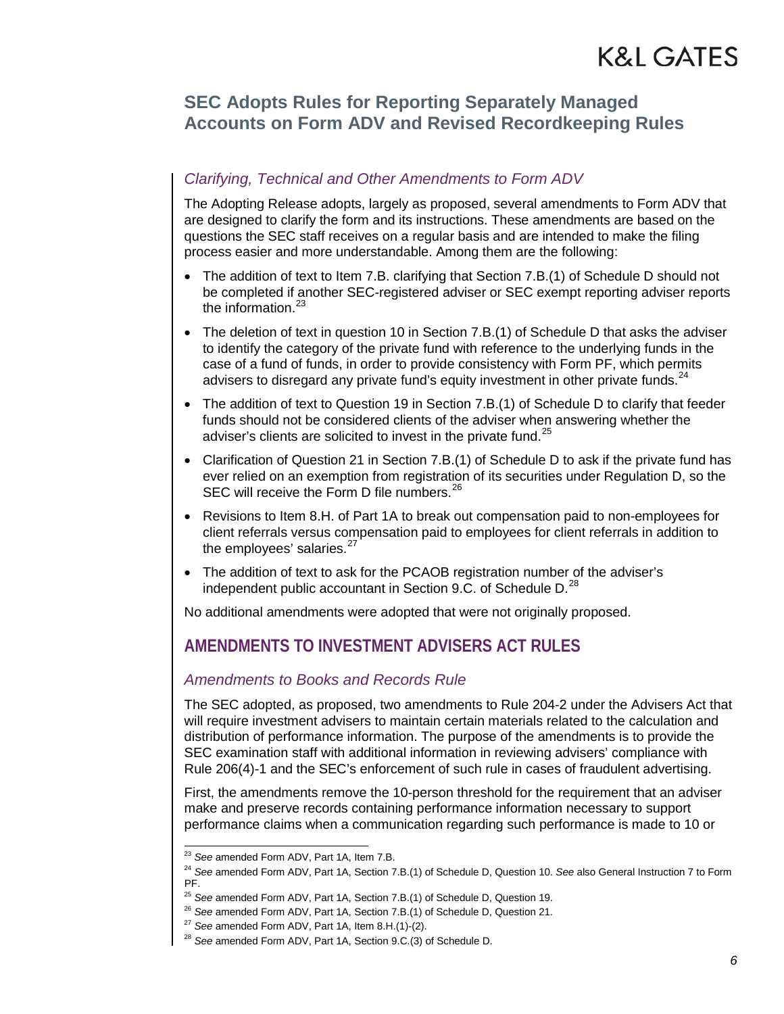### **SEC Adopts Rules for Reporting Separately Managed Accounts on Form ADV and Revised Recordkeeping Rules**

#### *Clarifying, Technical and Other Amendments to Form ADV*

The Adopting Release adopts, largely as proposed, several amendments to Form ADV that are designed to clarify the form and its instructions. These amendments are based on the questions the SEC staff receives on a regular basis and are intended to make the filing process easier and more understandable. Among them are the following:

- The addition of text to Item 7.B. clarifying that Section 7.B.(1) of Schedule D should not be completed if another SEC-registered adviser or SEC exempt reporting adviser reports the information. $23$
- The deletion of text in question 10 in Section 7.B.(1) of Schedule D that asks the adviser to identify the category of the private fund with reference to the underlying funds in the case of a fund of funds, in order to provide consistency with Form PF, which permits advisers to disregard any private fund's equity investment in other private funds. $24$
- The addition of text to Question 19 in Section 7.B.(1) of Schedule D to clarify that feeder funds should not be considered clients of the adviser when answering whether the adviser's clients are solicited to invest in the private fund.<sup>[25](#page-5-2)</sup>
- Clarification of Question 21 in Section 7.B.(1) of Schedule D to ask if the private fund has ever relied on an exemption from registration of its securities under Regulation D, so the SEC will receive the Form D file numbers.<sup>[26](#page-5-3)</sup>
- Revisions to Item 8.H. of Part 1A to break out compensation paid to non-employees for client referrals versus compensation paid to employees for client referrals in addition to the employees' salaries.<sup>[27](#page-5-4)</sup>
- The addition of text to ask for the PCAOB registration number of the adviser's independent public accountant in Section 9.C. of Schedule D.<sup>[28](#page-5-5)</sup>

No additional amendments were adopted that were not originally proposed.

### **AMENDMENTS TO INVESTMENT ADVISERS ACT RULES**

#### *Amendments to Books and Records Rule*

The SEC adopted, as proposed, two amendments to Rule 204-2 under the Advisers Act that will require investment advisers to maintain certain materials related to the calculation and distribution of performance information. The purpose of the amendments is to provide the SEC examination staff with additional information in reviewing advisers' compliance with Rule 206(4)-1 and the SEC's enforcement of such rule in cases of fraudulent advertising.

First, the amendments remove the 10-person threshold for the requirement that an adviser make and preserve records containing performance information necessary to support performance claims when a communication regarding such performance is made to 10 or

 <sup>23</sup> *See* amended Form ADV, Part 1A, Item 7.B.

<span id="page-5-2"></span><span id="page-5-1"></span><span id="page-5-0"></span><sup>24</sup> *See* amended Form ADV, Part 1A, Section 7.B.(1) of Schedule D, Question 10. *See* also General Instruction 7 to Form PF.

<sup>25</sup> *See* amended Form ADV, Part 1A, Section 7.B.(1) of Schedule D, Question 19.

<sup>26</sup> *See* amended Form ADV, Part 1A, Section 7.B.(1) of Schedule D, Question 21.

<span id="page-5-5"></span><span id="page-5-4"></span><span id="page-5-3"></span><sup>27</sup> *See* amended Form ADV, Part 1A, Item 8.H.(1)-(2).

<sup>28</sup> *See* amended Form ADV, Part 1A, Section 9.C.(3) of Schedule D.